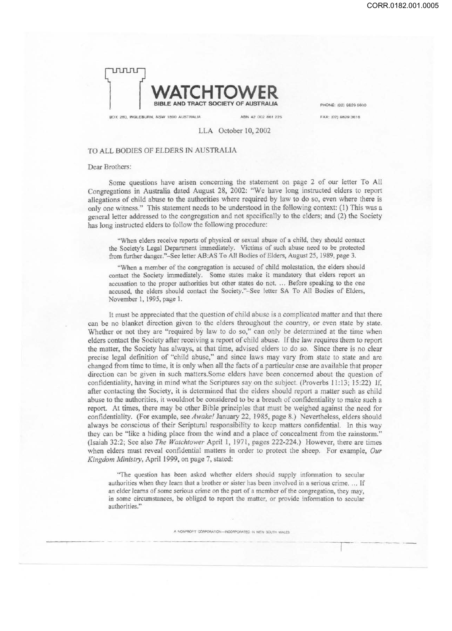

BOX 280, INGLEBUAN, NSW 1890 AUSTRALIA ABN 42 002 861 225 FAX: (02) 9829 3818

PHONE: (02) 9829 5600

LLA October 10, 2002

## TO ALL BODIES OF ELDERS IN AUSTRALIA

## Dear Brothers:

Some questions have arisen concerning the statement on page 2 of our letter To All Congregations in Australia dated August 28, 2002: "We have long instructed elders to report allegations of child abuse to the authorities where required by law to do so, even where there is only one witness." This statement needs to be understood in the following context: (I) This was a general letter addressed to the congregation and not specifically to the elders; and (2) the Society has long instructed elders to follow the following procedure:

"When elders receive reports of physical or sexual abuse of a child, they should contact the Society's Legal Department immediately. Victims of such abuse need to be protected from further danger."-See letter AB:AS To All Bodies of Elders, August *25,* 1989, page 3.

"When a member of the congregation is accused of child molestation, the elders should contact the Society immediately. Some states make it mandatory that elders report an accusation to the proper authorities but other states do not. ... Before speaking to the one accused, the elders should contact the Society."-See letter SA To All Bodies of Elders, November I, 1995, page 1.

It must be appreciated that the question of child abuse is a complicated matter and that there can be no blanket direction given to the elders throughout the country, or even state by state. Whether or not they are "required by law to do so," can only be determined at the time when elders contact the Society after receiving a report of child abuse. If the law requires them to report the matter, the Society has always, at that time, advised elders to do so. Since there is no clear precise legal definition of "child abuse," and since laws may vary from state to state and are changed from time to time, it is only when all the facts of a particular case are available that proper direction can be given in such matters.Some elders have been concerned about the question of confidentiality, having in mind what the Scriptures say on the subject. (Proverbs 11:13; 15:22) If, after contacting the Society, it is determined that the elders should report a matter such as child abuse to the authorities, it wouldnot be considered to be a breach of confidentiality to make such a report. At times, there may be other Bible principles that must be weighed against the need for confidentiality. (For example, see *Awake!* January 22, 1985, page 8.) Nevertheless, elders should always be conscious of their Scriptural responsibility to keep matters confidential. In this way they can be "like a hiding place from the wind and a place of concealment from the rainstorm." (Isaiah 32:2; See also *The Watchtower* April l, 1971, pages 222-224.) However, there are times when elders must reveal confidential matters in order to protect the sheep. For example, *Our Kingdom Ministry,* April 1999, on page 7, stated:

"The question has been asked whether elders should supply information to secular authorities when they learn that a brother or sister has been involved in a serious crime .... If an elder learns of some serious crime on the part of a member of the congregation, they may, in some circumstances, be obliged to report the matter, or provide information to secular authorities."

A NONPROFIT CORPORATION-INCORPORATED IN NEW SOUTH WALES